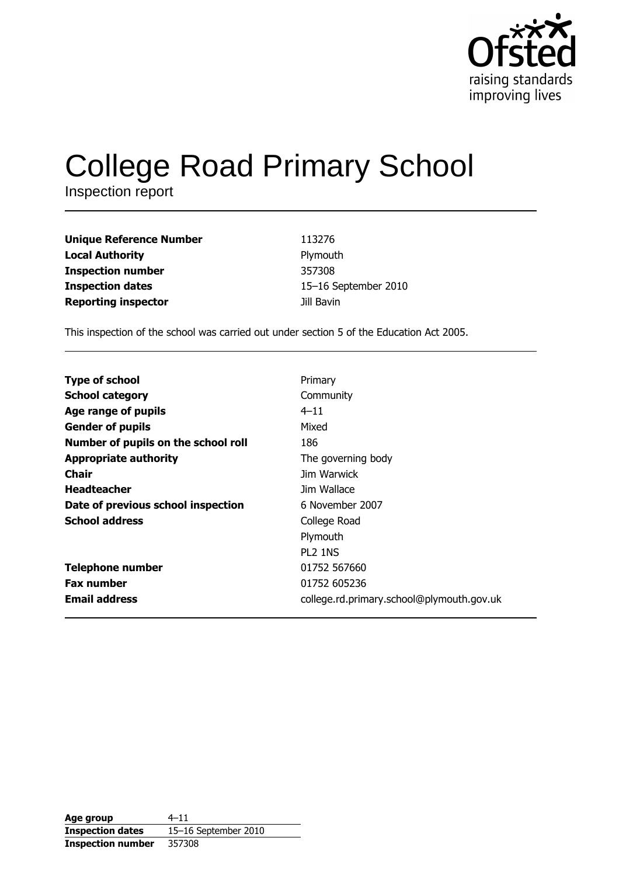

# **College Road Primary School**

Inspection report

| <b>Unique Reference Number</b> | 113276               |
|--------------------------------|----------------------|
| <b>Local Authority</b>         | Plymouth             |
| <b>Inspection number</b>       | 357308               |
| <b>Inspection dates</b>        | 15-16 September 2010 |
| <b>Reporting inspector</b>     | Jill Bavin           |

This inspection of the school was carried out under section 5 of the Education Act 2005.

| <b>Type of school</b>               | Primary                                   |
|-------------------------------------|-------------------------------------------|
| <b>School category</b>              | Community                                 |
| Age range of pupils                 | $4 - 11$                                  |
| <b>Gender of pupils</b>             | Mixed                                     |
| Number of pupils on the school roll | 186                                       |
| <b>Appropriate authority</b>        | The governing body                        |
| <b>Chair</b>                        | Jim Warwick                               |
| <b>Headteacher</b>                  | Jim Wallace                               |
| Date of previous school inspection  | 6 November 2007                           |
| <b>School address</b>               | College Road                              |
|                                     | Plymouth                                  |
|                                     | <b>PL2 1NS</b>                            |
| <b>Telephone number</b>             | 01752 567660                              |
| <b>Fax number</b>                   | 01752 605236                              |
| <b>Email address</b>                | college.rd.primary.school@plymouth.gov.uk |

| Age group                | $4 - 11$             |
|--------------------------|----------------------|
| <b>Inspection dates</b>  | 15-16 September 2010 |
| <b>Inspection number</b> | 357308               |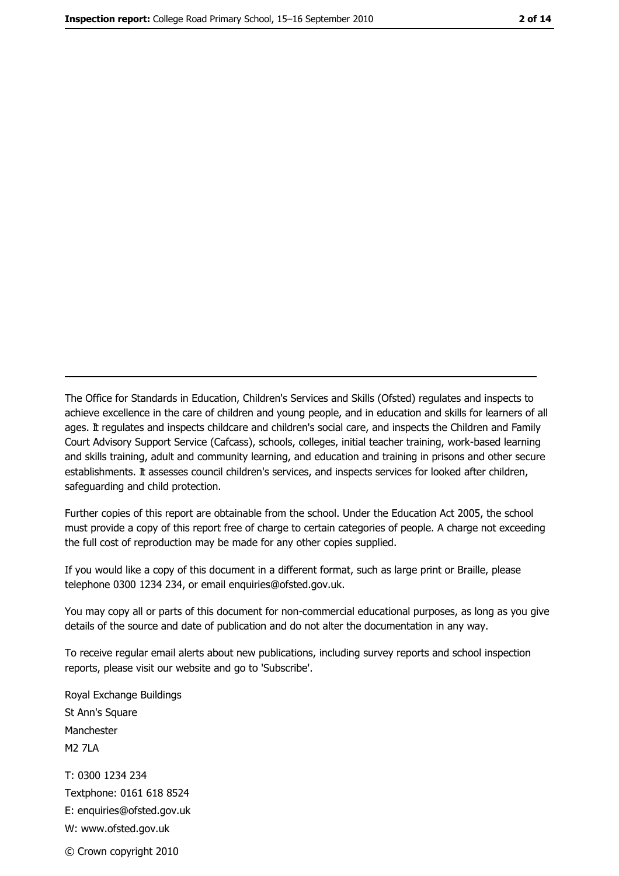The Office for Standards in Education, Children's Services and Skills (Ofsted) regulates and inspects to achieve excellence in the care of children and young people, and in education and skills for learners of all ages. It regulates and inspects childcare and children's social care, and inspects the Children and Family Court Advisory Support Service (Cafcass), schools, colleges, initial teacher training, work-based learning and skills training, adult and community learning, and education and training in prisons and other secure establishments. It assesses council children's services, and inspects services for looked after children, safeguarding and child protection.

Further copies of this report are obtainable from the school. Under the Education Act 2005, the school must provide a copy of this report free of charge to certain categories of people. A charge not exceeding the full cost of reproduction may be made for any other copies supplied.

If you would like a copy of this document in a different format, such as large print or Braille, please telephone 0300 1234 234, or email enquiries@ofsted.gov.uk.

You may copy all or parts of this document for non-commercial educational purposes, as long as you give details of the source and date of publication and do not alter the documentation in any way.

To receive regular email alerts about new publications, including survey reports and school inspection reports, please visit our website and go to 'Subscribe'.

Royal Exchange Buildings St Ann's Square Manchester **M2 7I A** T: 0300 1234 234 Textphone: 0161 618 8524 E: enquiries@ofsted.gov.uk W: www.ofsted.gov.uk © Crown copyright 2010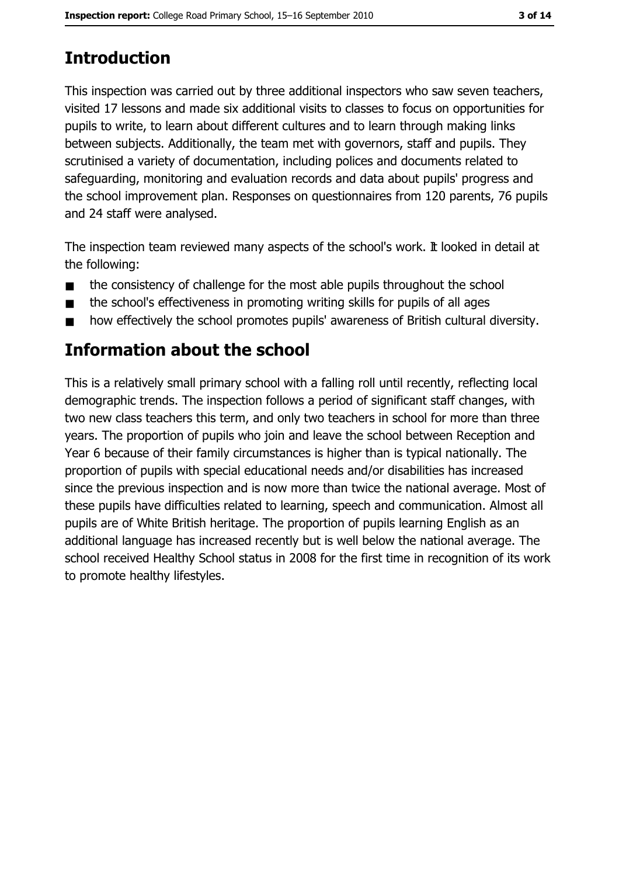# **Introduction**

This inspection was carried out by three additional inspectors who saw seven teachers, visited 17 lessons and made six additional visits to classes to focus on opportunities for pupils to write, to learn about different cultures and to learn through making links between subjects. Additionally, the team met with governors, staff and pupils. They scrutinised a variety of documentation, including polices and documents related to safeguarding, monitoring and evaluation records and data about pupils' progress and the school improvement plan. Responses on questionnaires from 120 parents, 76 pupils and 24 staff were analysed.

The inspection team reviewed many aspects of the school's work. It looked in detail at the following:

- the consistency of challenge for the most able pupils throughout the school  $\blacksquare$
- the school's effectiveness in promoting writing skills for pupils of all ages  $\blacksquare$
- how effectively the school promotes pupils' awareness of British cultural diversity.  $\blacksquare$

# **Information about the school**

This is a relatively small primary school with a falling roll until recently, reflecting local demographic trends. The inspection follows a period of significant staff changes, with two new class teachers this term, and only two teachers in school for more than three years. The proportion of pupils who join and leave the school between Reception and Year 6 because of their family circumstances is higher than is typical nationally. The proportion of pupils with special educational needs and/or disabilities has increased since the previous inspection and is now more than twice the national average. Most of these pupils have difficulties related to learning, speech and communication. Almost all pupils are of White British heritage. The proportion of pupils learning English as an additional language has increased recently but is well below the national average. The school received Healthy School status in 2008 for the first time in recognition of its work to promote healthy lifestyles.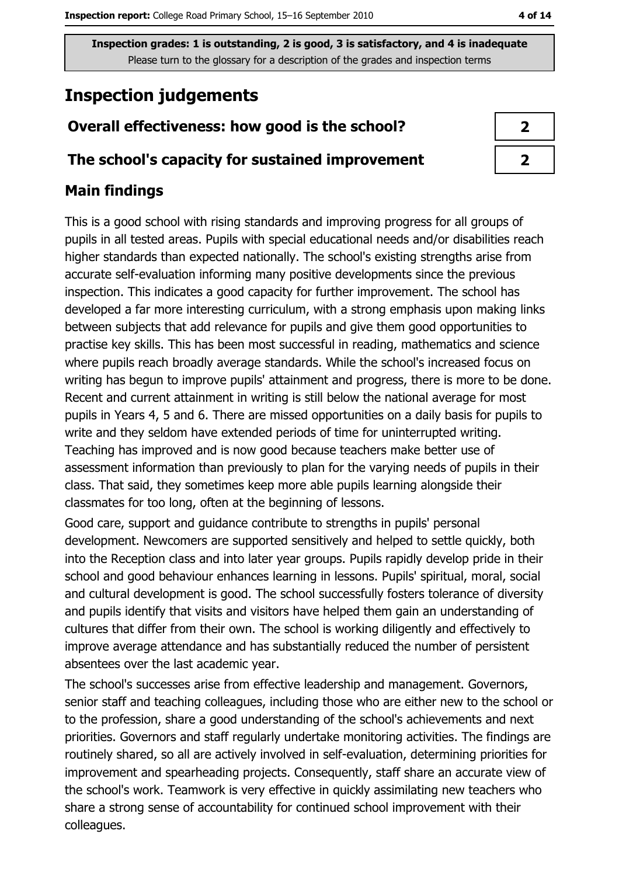# **Inspection judgements**

### Overall effectiveness: how good is the school?

#### The school's capacity for sustained improvement

## **Main findings**

This is a good school with rising standards and improving progress for all groups of pupils in all tested areas. Pupils with special educational needs and/or disabilities reach higher standards than expected nationally. The school's existing strengths arise from accurate self-evaluation informing many positive developments since the previous inspection. This indicates a good capacity for further improvement. The school has developed a far more interesting curriculum, with a strong emphasis upon making links between subjects that add relevance for pupils and give them good opportunities to practise key skills. This has been most successful in reading, mathematics and science where pupils reach broadly average standards. While the school's increased focus on writing has begun to improve pupils' attainment and progress, there is more to be done. Recent and current attainment in writing is still below the national average for most pupils in Years 4, 5 and 6. There are missed opportunities on a daily basis for pupils to write and they seldom have extended periods of time for uninterrupted writing. Teaching has improved and is now good because teachers make better use of assessment information than previously to plan for the varying needs of pupils in their class. That said, they sometimes keep more able pupils learning alongside their classmates for too long, often at the beginning of lessons.

Good care, support and guidance contribute to strengths in pupils' personal development. Newcomers are supported sensitively and helped to settle quickly, both into the Reception class and into later year groups. Pupils rapidly develop pride in their school and good behaviour enhances learning in lessons. Pupils' spiritual, moral, social and cultural development is good. The school successfully fosters tolerance of diversity and pupils identify that visits and visitors have helped them gain an understanding of cultures that differ from their own. The school is working diligently and effectively to improve average attendance and has substantially reduced the number of persistent absentees over the last academic year.

The school's successes arise from effective leadership and management. Governors, senior staff and teaching colleagues, including those who are either new to the school or to the profession, share a good understanding of the school's achievements and next priorities. Governors and staff regularly undertake monitoring activities. The findings are routinely shared, so all are actively involved in self-evaluation, determining priorities for improvement and spearheading projects. Consequently, staff share an accurate view of the school's work. Teamwork is very effective in quickly assimilating new teachers who share a strong sense of accountability for continued school improvement with their colleagues.

| 2                          |  |
|----------------------------|--|
| $\boldsymbol{\mathcal{P}}$ |  |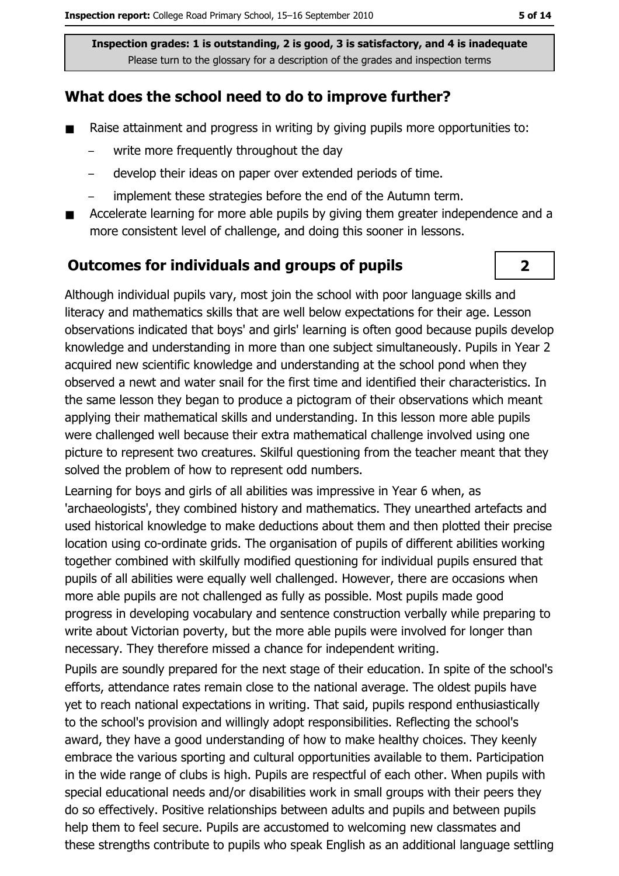### What does the school need to do to improve further?

- $\blacksquare$ Raise attainment and progress in writing by giving pupils more opportunities to:
	- write more frequently throughout the day
	- develop their ideas on paper over extended periods of time.
	- implement these strategies before the end of the Autumn term.  $\equiv$
- Accelerate learning for more able pupils by giving them greater independence and a  $\blacksquare$ more consistent level of challenge, and doing this sooner in lessons.

#### **Outcomes for individuals and groups of pupils**

Although individual pupils vary, most join the school with poor language skills and literacy and mathematics skills that are well below expectations for their age. Lesson observations indicated that boys' and girls' learning is often good because pupils develop knowledge and understanding in more than one subject simultaneously. Pupils in Year 2 acquired new scientific knowledge and understanding at the school pond when they observed a newt and water snail for the first time and identified their characteristics. In the same lesson they began to produce a pictogram of their observations which meant applying their mathematical skills and understanding. In this lesson more able pupils were challenged well because their extra mathematical challenge involved using one picture to represent two creatures. Skilful questioning from the teacher meant that they solved the problem of how to represent odd numbers.

Learning for boys and girls of all abilities was impressive in Year 6 when, as 'archaeologists', they combined history and mathematics. They unearthed artefacts and used historical knowledge to make deductions about them and then plotted their precise location using co-ordinate grids. The organisation of pupils of different abilities working together combined with skilfully modified questioning for individual pupils ensured that pupils of all abilities were equally well challenged. However, there are occasions when more able pupils are not challenged as fully as possible. Most pupils made good progress in developing vocabulary and sentence construction verbally while preparing to write about Victorian poverty, but the more able pupils were involved for longer than necessary. They therefore missed a chance for independent writing.

Pupils are soundly prepared for the next stage of their education. In spite of the school's efforts, attendance rates remain close to the national average. The oldest pupils have yet to reach national expectations in writing. That said, pupils respond enthusiastically to the school's provision and willingly adopt responsibilities. Reflecting the school's award, they have a good understanding of how to make healthy choices. They keenly embrace the various sporting and cultural opportunities available to them. Participation in the wide range of clubs is high. Pupils are respectful of each other. When pupils with special educational needs and/or disabilities work in small groups with their peers they do so effectively. Positive relationships between adults and pupils and between pupils help them to feel secure. Pupils are accustomed to welcoming new classmates and these strengths contribute to pupils who speak English as an additional language settling

 $\overline{2}$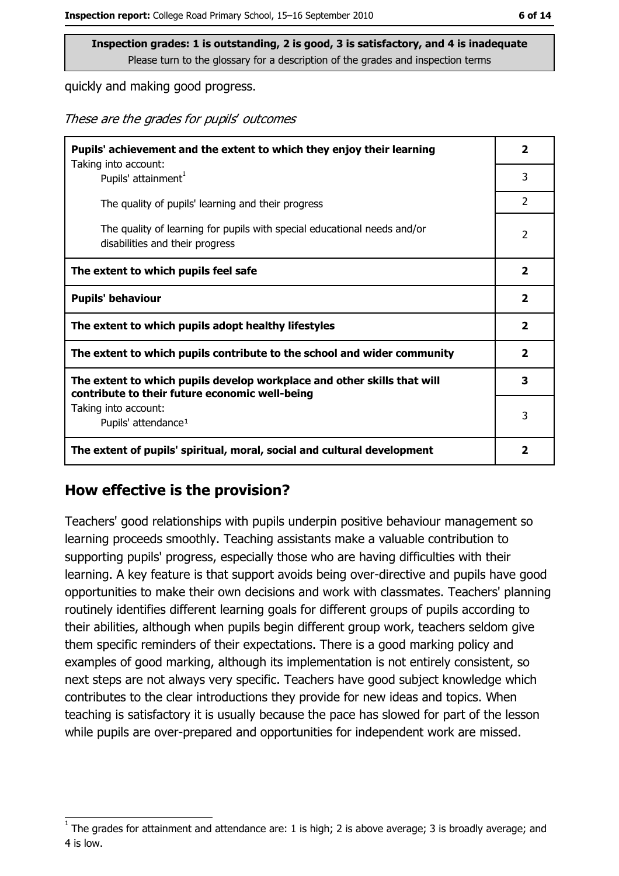quickly and making good progress.

These are the grades for pupils' outcomes

| Pupils' achievement and the extent to which they enjoy their learning                                                     |                |
|---------------------------------------------------------------------------------------------------------------------------|----------------|
| Taking into account:<br>Pupils' attainment <sup>1</sup>                                                                   | 3              |
| The quality of pupils' learning and their progress                                                                        | $\overline{2}$ |
| The quality of learning for pupils with special educational needs and/or<br>disabilities and their progress               |                |
| The extent to which pupils feel safe                                                                                      |                |
| <b>Pupils' behaviour</b>                                                                                                  |                |
| The extent to which pupils adopt healthy lifestyles                                                                       |                |
| The extent to which pupils contribute to the school and wider community                                                   |                |
| The extent to which pupils develop workplace and other skills that will<br>contribute to their future economic well-being |                |
| Taking into account:<br>Pupils' attendance <sup>1</sup>                                                                   |                |
| The extent of pupils' spiritual, moral, social and cultural development                                                   |                |

#### How effective is the provision?

Teachers' good relationships with pupils underpin positive behaviour management so learning proceeds smoothly. Teaching assistants make a valuable contribution to supporting pupils' progress, especially those who are having difficulties with their learning. A key feature is that support avoids being over-directive and pupils have good opportunities to make their own decisions and work with classmates. Teachers' planning routinely identifies different learning goals for different groups of pupils according to their abilities, although when pupils begin different group work, teachers seldom give them specific reminders of their expectations. There is a good marking policy and examples of good marking, although its implementation is not entirely consistent, so next steps are not always very specific. Teachers have good subject knowledge which contributes to the clear introductions they provide for new ideas and topics. When teaching is satisfactory it is usually because the pace has slowed for part of the lesson while pupils are over-prepared and opportunities for independent work are missed.

The grades for attainment and attendance are: 1 is high; 2 is above average; 3 is broadly average; and 4 is low.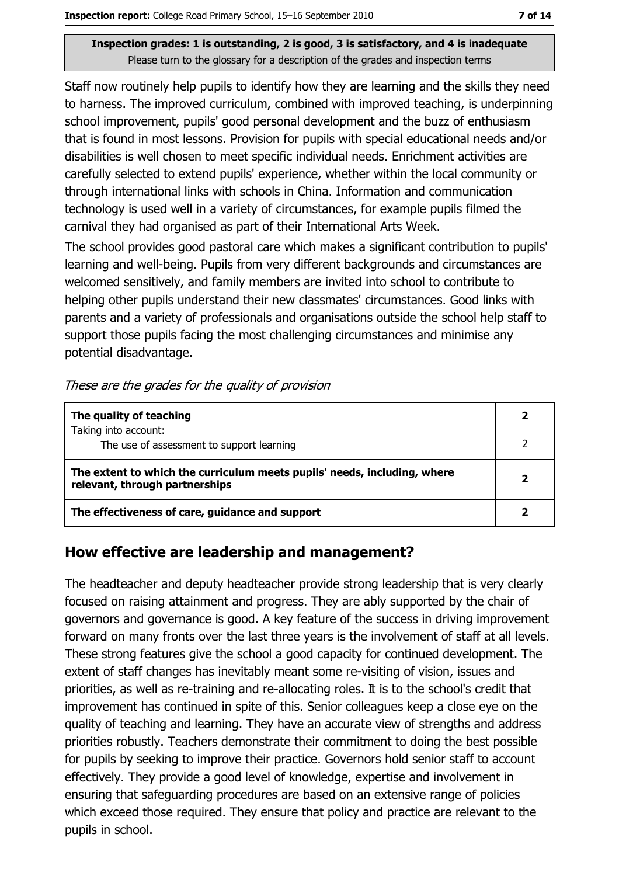Staff now routinely help pupils to identify how they are learning and the skills they need to harness. The improved curriculum, combined with improved teaching, is underpinning school improvement, pupils' good personal development and the buzz of enthusiasm that is found in most lessons. Provision for pupils with special educational needs and/or disabilities is well chosen to meet specific individual needs. Enrichment activities are carefully selected to extend pupils' experience, whether within the local community or through international links with schools in China. Information and communication technology is used well in a variety of circumstances, for example pupils filmed the carnival they had organised as part of their International Arts Week.

The school provides good pastoral care which makes a significant contribution to pupils' learning and well-being. Pupils from very different backgrounds and circumstances are welcomed sensitively, and family members are invited into school to contribute to helping other pupils understand their new classmates' circumstances. Good links with parents and a variety of professionals and organisations outside the school help staff to support those pupils facing the most challenging circumstances and minimise any potential disadvantage.

| The quality of teaching                                                                                    |  |
|------------------------------------------------------------------------------------------------------------|--|
| Taking into account:<br>The use of assessment to support learning                                          |  |
| The extent to which the curriculum meets pupils' needs, including, where<br>relevant, through partnerships |  |
| The effectiveness of care, guidance and support                                                            |  |

### How effective are leadership and management?

The headteacher and deputy headteacher provide strong leadership that is very clearly focused on raising attainment and progress. They are ably supported by the chair of governors and governance is good. A key feature of the success in driving improvement forward on many fronts over the last three years is the involvement of staff at all levels. These strong features give the school a good capacity for continued development. The extent of staff changes has inevitably meant some re-visiting of vision, issues and priorities, as well as re-training and re-allocating roles. It is to the school's credit that improvement has continued in spite of this. Senior colleagues keep a close eye on the quality of teaching and learning. They have an accurate view of strengths and address priorities robustly. Teachers demonstrate their commitment to doing the best possible for pupils by seeking to improve their practice. Governors hold senior staff to account effectively. They provide a good level of knowledge, expertise and involvement in ensuring that safeguarding procedures are based on an extensive range of policies which exceed those required. They ensure that policy and practice are relevant to the pupils in school.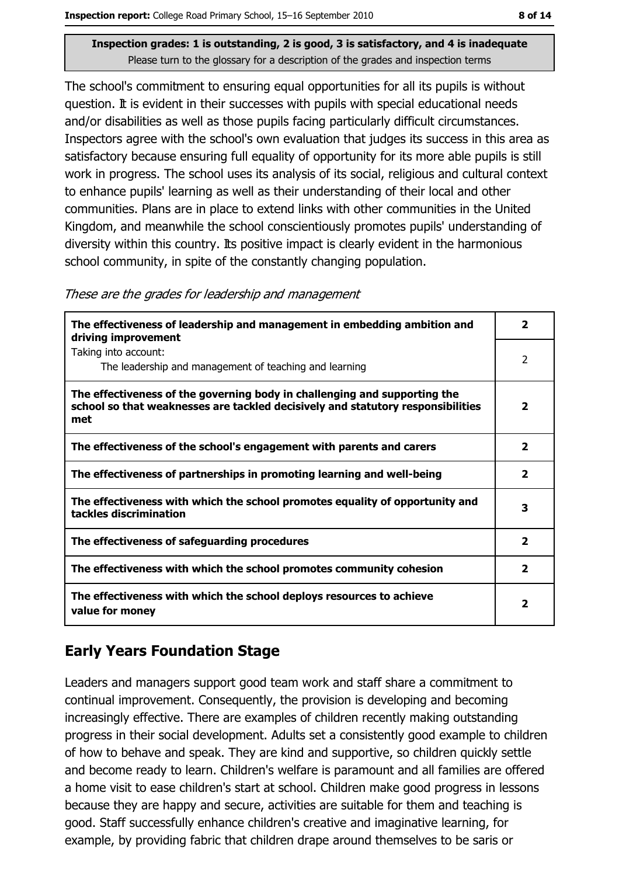The school's commitment to ensuring equal opportunities for all its pupils is without question. It is evident in their successes with pupils with special educational needs and/or disabilities as well as those pupils facing particularly difficult circumstances. Inspectors agree with the school's own evaluation that judges its success in this area as satisfactory because ensuring full equality of opportunity for its more able pupils is still work in progress. The school uses its analysis of its social, religious and cultural context to enhance pupils' learning as well as their understanding of their local and other communities. Plans are in place to extend links with other communities in the United Kingdom, and meanwhile the school conscientiously promotes pupils' understanding of diversity within this country. Its positive impact is clearly evident in the harmonious school community, in spite of the constantly changing population.

These are the grades for leadership and management

| The effectiveness of leadership and management in embedding ambition and<br>driving improvement                                                                     | $\overline{\phantom{a}}$ |
|---------------------------------------------------------------------------------------------------------------------------------------------------------------------|--------------------------|
| Taking into account:<br>The leadership and management of teaching and learning                                                                                      | 2                        |
| The effectiveness of the governing body in challenging and supporting the<br>school so that weaknesses are tackled decisively and statutory responsibilities<br>met | $\overline{2}$           |
| The effectiveness of the school's engagement with parents and carers                                                                                                | $\overline{2}$           |
| The effectiveness of partnerships in promoting learning and well-being                                                                                              | $\mathbf{z}$             |
| The effectiveness with which the school promotes equality of opportunity and<br>tackles discrimination                                                              | 3                        |
| The effectiveness of safeguarding procedures                                                                                                                        | $\overline{2}$           |
| The effectiveness with which the school promotes community cohesion                                                                                                 | $\overline{2}$           |
| The effectiveness with which the school deploys resources to achieve<br>value for money                                                                             | 2                        |

### **Early Years Foundation Stage**

Leaders and managers support good team work and staff share a commitment to continual improvement. Consequently, the provision is developing and becoming increasingly effective. There are examples of children recently making outstanding progress in their social development. Adults set a consistently good example to children of how to behave and speak. They are kind and supportive, so children quickly settle and become ready to learn. Children's welfare is paramount and all families are offered a home visit to ease children's start at school. Children make good progress in lessons because they are happy and secure, activities are suitable for them and teaching is good. Staff successfully enhance children's creative and imaginative learning, for example, by providing fabric that children drape around themselves to be saris or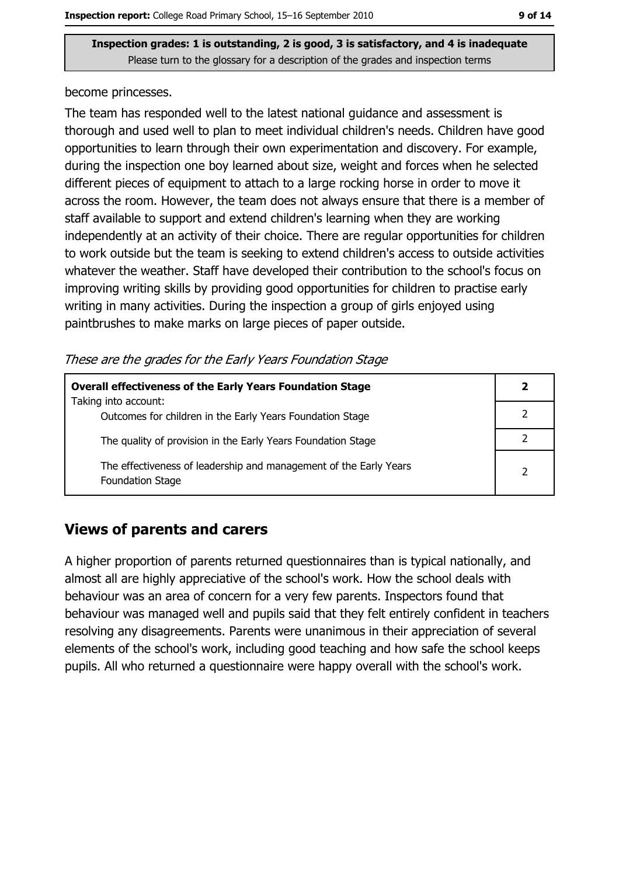become princesses.

The team has responded well to the latest national quidance and assessment is thorough and used well to plan to meet individual children's needs. Children have good opportunities to learn through their own experimentation and discovery. For example, during the inspection one boy learned about size, weight and forces when he selected different pieces of equipment to attach to a large rocking horse in order to move it across the room. However, the team does not always ensure that there is a member of staff available to support and extend children's learning when they are working independently at an activity of their choice. There are regular opportunities for children to work outside but the team is seeking to extend children's access to outside activities whatever the weather. Staff have developed their contribution to the school's focus on improving writing skills by providing good opportunities for children to practise early writing in many activities. During the inspection a group of girls enjoyed using paintbrushes to make marks on large pieces of paper outside.

These are the grades for the Early Years Foundation Stage

| <b>Overall effectiveness of the Early Years Foundation Stage</b><br>Taking into account: |               |  |  |
|------------------------------------------------------------------------------------------|---------------|--|--|
| Outcomes for children in the Early Years Foundation Stage                                |               |  |  |
| The quality of provision in the Early Years Foundation Stage                             |               |  |  |
| The effectiveness of leadership and management of the Early Years<br>Foundation Stage    | $\mathcal{P}$ |  |  |

### **Views of parents and carers**

A higher proportion of parents returned questionnaires than is typical nationally, and almost all are highly appreciative of the school's work. How the school deals with behaviour was an area of concern for a very few parents. Inspectors found that behaviour was managed well and pupils said that they felt entirely confident in teachers resolving any disagreements. Parents were unanimous in their appreciation of several elements of the school's work, including good teaching and how safe the school keeps pupils. All who returned a questionnaire were happy overall with the school's work.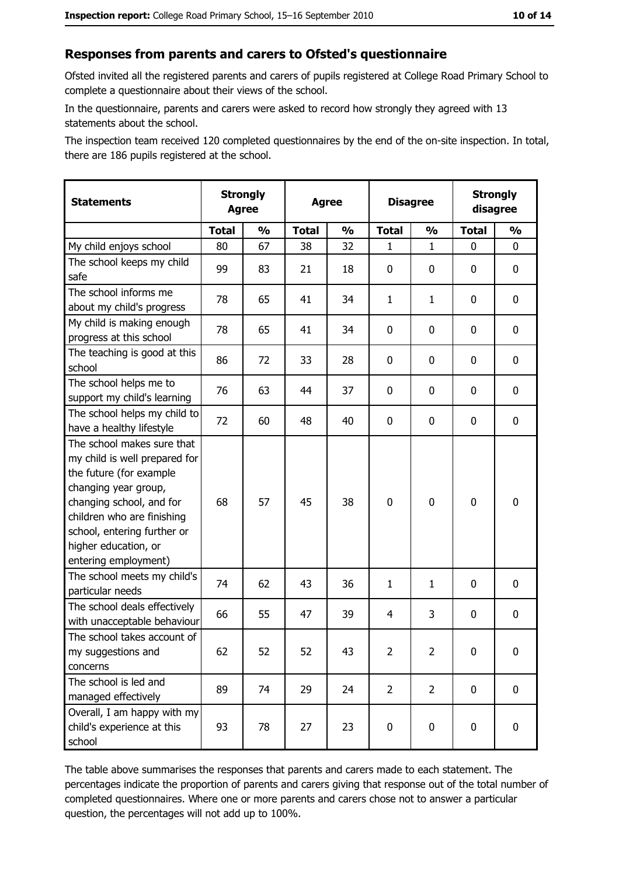#### Responses from parents and carers to Ofsted's questionnaire

Ofsted invited all the registered parents and carers of pupils registered at College Road Primary School to complete a questionnaire about their views of the school.

In the questionnaire, parents and carers were asked to record how strongly they agreed with 13 statements about the school.

The inspection team received 120 completed questionnaires by the end of the on-site inspection. In total, there are 186 pupils registered at the school.

| <b>Statements</b>                                                                                                                                                                                                                                       | <b>Strongly</b><br><b>Agree</b> |               | <b>Strongly</b><br><b>Disagree</b><br><b>Agree</b><br>disagree |               |                |                |              |               |
|---------------------------------------------------------------------------------------------------------------------------------------------------------------------------------------------------------------------------------------------------------|---------------------------------|---------------|----------------------------------------------------------------|---------------|----------------|----------------|--------------|---------------|
|                                                                                                                                                                                                                                                         | <b>Total</b>                    | $\frac{1}{2}$ | <b>Total</b>                                                   | $\frac{0}{0}$ | <b>Total</b>   | $\frac{1}{2}$  | <b>Total</b> | $\frac{9}{6}$ |
| My child enjoys school                                                                                                                                                                                                                                  | 80                              | 67            | 38                                                             | 32            | 1              | $\mathbf 1$    | $\Omega$     | 0             |
| The school keeps my child<br>safe                                                                                                                                                                                                                       | 99                              | 83            | 21                                                             | 18            | $\mathbf 0$    | 0              | $\mathbf{0}$ | 0             |
| The school informs me<br>about my child's progress                                                                                                                                                                                                      | 78                              | 65            | 41                                                             | 34            | $\mathbf{1}$   | $\mathbf{1}$   | $\mathbf{0}$ | 0             |
| My child is making enough<br>progress at this school                                                                                                                                                                                                    | 78                              | 65            | 41                                                             | 34            | $\mathbf 0$    | 0              | 0            | 0             |
| The teaching is good at this<br>school                                                                                                                                                                                                                  | 86                              | 72            | 33                                                             | 28            | $\mathbf 0$    | 0              | 0            | 0             |
| The school helps me to<br>support my child's learning                                                                                                                                                                                                   | 76                              | 63            | 44                                                             | 37            | $\mathbf 0$    | 0              | 0            | 0             |
| The school helps my child to<br>have a healthy lifestyle                                                                                                                                                                                                | 72                              | 60            | 48                                                             | 40            | $\mathbf 0$    | 0              | 0            | 0             |
| The school makes sure that<br>my child is well prepared for<br>the future (for example<br>changing year group,<br>changing school, and for<br>children who are finishing<br>school, entering further or<br>higher education, or<br>entering employment) | 68                              | 57            | 45                                                             | 38            | $\mathbf 0$    | 0              | 0            | 0             |
| The school meets my child's<br>particular needs                                                                                                                                                                                                         | 74                              | 62            | 43                                                             | 36            | $\mathbf{1}$   | $\mathbf{1}$   | 0            | 0             |
| The school deals effectively<br>with unacceptable behaviour                                                                                                                                                                                             | 66                              | 55            | 47                                                             | 39            | $\overline{4}$ | 3              | 0            | 0             |
| The school takes account of<br>my suggestions and<br>concerns                                                                                                                                                                                           | 62                              | 52            | 52                                                             | 43            | $\overline{2}$ | 2              | 0            | 0             |
| The school is led and<br>managed effectively                                                                                                                                                                                                            | 89                              | 74            | 29                                                             | 24            | $\overline{2}$ | $\overline{2}$ | 0            | $\mathbf 0$   |
| Overall, I am happy with my<br>child's experience at this<br>school                                                                                                                                                                                     | 93                              | 78            | 27                                                             | 23            | $\pmb{0}$      | 0              | $\mathbf 0$  | 0             |

The table above summarises the responses that parents and carers made to each statement. The percentages indicate the proportion of parents and carers giving that response out of the total number of completed questionnaires. Where one or more parents and carers chose not to answer a particular question, the percentages will not add up to 100%.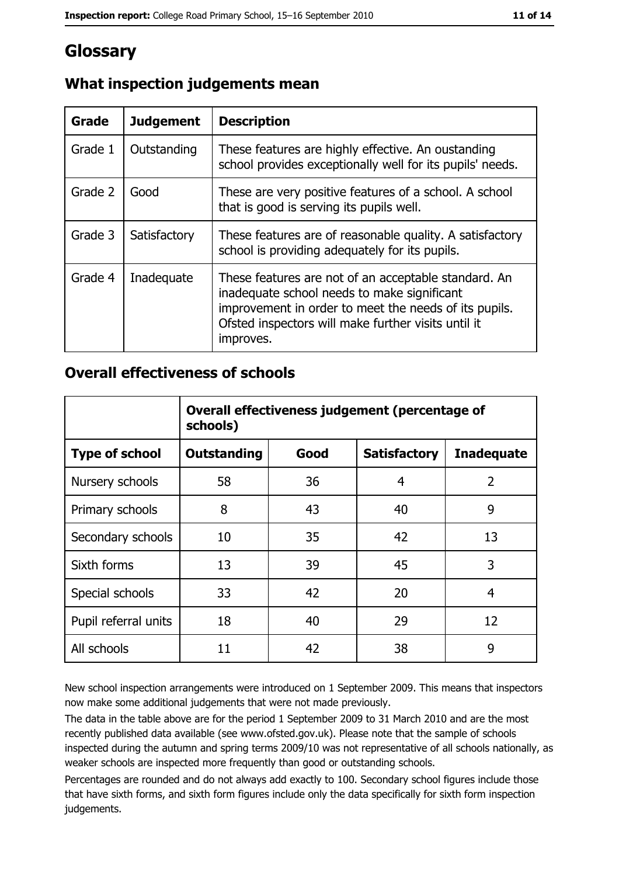# Glossary

| Grade   | <b>Judgement</b> | <b>Description</b>                                                                                                                                                                                                               |
|---------|------------------|----------------------------------------------------------------------------------------------------------------------------------------------------------------------------------------------------------------------------------|
| Grade 1 | Outstanding      | These features are highly effective. An oustanding<br>school provides exceptionally well for its pupils' needs.                                                                                                                  |
| Grade 2 | Good             | These are very positive features of a school. A school<br>that is good is serving its pupils well.                                                                                                                               |
| Grade 3 | Satisfactory     | These features are of reasonable quality. A satisfactory<br>school is providing adequately for its pupils.                                                                                                                       |
| Grade 4 | Inadequate       | These features are not of an acceptable standard. An<br>inadequate school needs to make significant<br>improvement in order to meet the needs of its pupils.<br>Ofsted inspectors will make further visits until it<br>improves. |

# What inspection judgements mean

# **Overall effectiveness of schools**

|                       | Overall effectiveness judgement (percentage of<br>schools) |      |                     |                   |  |
|-----------------------|------------------------------------------------------------|------|---------------------|-------------------|--|
| <b>Type of school</b> | <b>Outstanding</b>                                         | Good | <b>Satisfactory</b> | <b>Inadequate</b> |  |
| Nursery schools       | 58                                                         | 36   | 4                   | $\overline{2}$    |  |
| Primary schools       | 8                                                          | 43   | 40                  | 9                 |  |
| Secondary schools     | 10                                                         | 35   | 42                  | 13                |  |
| Sixth forms           | 13                                                         | 39   | 45                  | 3                 |  |
| Special schools       | 33                                                         | 42   | 20                  | 4                 |  |
| Pupil referral units  | 18                                                         | 40   | 29                  | 12                |  |
| All schools           | 11                                                         | 42   | 38                  | 9                 |  |

New school inspection arrangements were introduced on 1 September 2009. This means that inspectors now make some additional judgements that were not made previously.

The data in the table above are for the period 1 September 2009 to 31 March 2010 and are the most recently published data available (see www.ofsted.gov.uk). Please note that the sample of schools inspected during the autumn and spring terms 2009/10 was not representative of all schools nationally, as weaker schools are inspected more frequently than good or outstanding schools.

Percentages are rounded and do not always add exactly to 100. Secondary school figures include those that have sixth forms, and sixth form figures include only the data specifically for sixth form inspection judgements.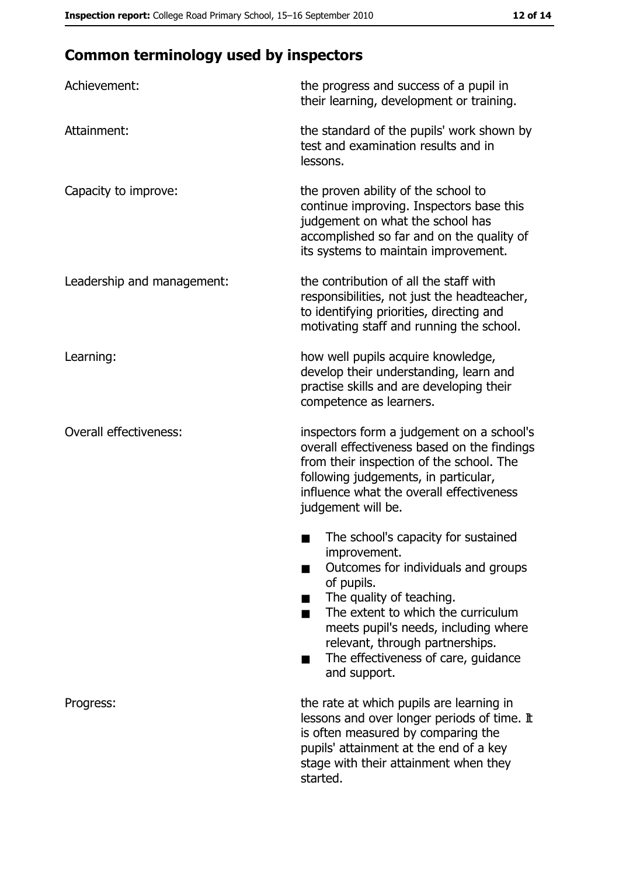# **Common terminology used by inspectors**

| Achievement:                  | the progress and success of a pupil in<br>their learning, development or training.                                                                                                                                                                                                                           |
|-------------------------------|--------------------------------------------------------------------------------------------------------------------------------------------------------------------------------------------------------------------------------------------------------------------------------------------------------------|
| Attainment:                   | the standard of the pupils' work shown by<br>test and examination results and in<br>lessons.                                                                                                                                                                                                                 |
| Capacity to improve:          | the proven ability of the school to<br>continue improving. Inspectors base this<br>judgement on what the school has<br>accomplished so far and on the quality of<br>its systems to maintain improvement.                                                                                                     |
| Leadership and management:    | the contribution of all the staff with<br>responsibilities, not just the headteacher,<br>to identifying priorities, directing and<br>motivating staff and running the school.                                                                                                                                |
| Learning:                     | how well pupils acquire knowledge,<br>develop their understanding, learn and<br>practise skills and are developing their<br>competence as learners.                                                                                                                                                          |
| <b>Overall effectiveness:</b> | inspectors form a judgement on a school's<br>overall effectiveness based on the findings<br>from their inspection of the school. The<br>following judgements, in particular,<br>influence what the overall effectiveness<br>judgement will be.                                                               |
|                               | The school's capacity for sustained<br>improvement.<br>Outcomes for individuals and groups<br>of pupils.<br>The quality of teaching.<br>The extent to which the curriculum<br>meets pupil's needs, including where<br>relevant, through partnerships.<br>The effectiveness of care, guidance<br>and support. |
| Progress:                     | the rate at which pupils are learning in<br>lessons and over longer periods of time. It<br>is often measured by comparing the<br>pupils' attainment at the end of a key<br>stage with their attainment when they<br>started.                                                                                 |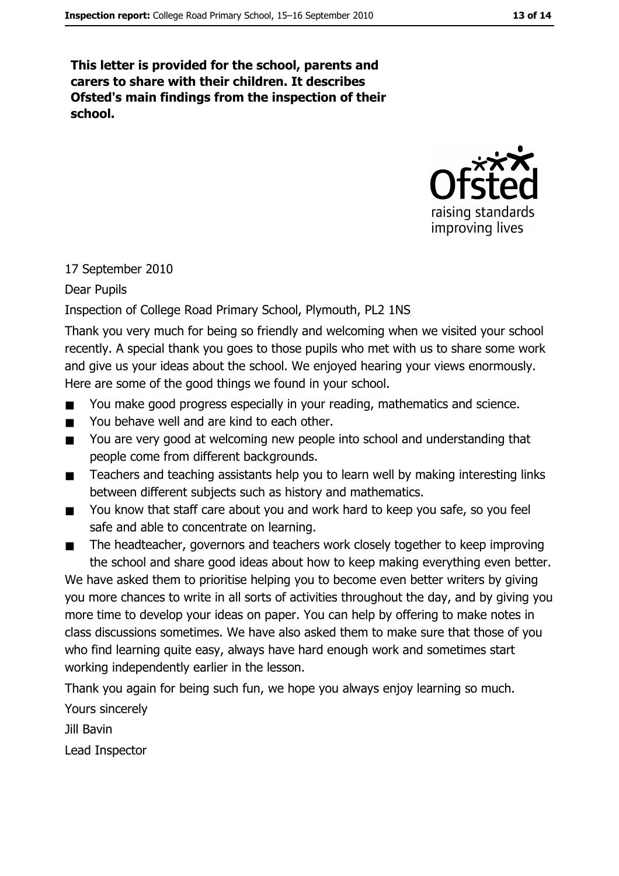This letter is provided for the school, parents and carers to share with their children. It describes Ofsted's main findings from the inspection of their school.



#### 17 September 2010

Dear Pupils

#### Inspection of College Road Primary School, Plymouth, PL2 1NS

Thank you very much for being so friendly and welcoming when we visited your school recently. A special thank you goes to those pupils who met with us to share some work and give us your ideas about the school. We enjoyed hearing your views enormously. Here are some of the good things we found in your school.

- You make good progress especially in your reading, mathematics and science.  $\blacksquare$
- You behave well and are kind to each other.  $\blacksquare$
- You are very good at welcoming new people into school and understanding that  $\blacksquare$ people come from different backgrounds.
- Teachers and teaching assistants help you to learn well by making interesting links  $\blacksquare$ between different subjects such as history and mathematics.
- You know that staff care about you and work hard to keep you safe, so you feel  $\blacksquare$ safe and able to concentrate on learning.
- The headteacher, governors and teachers work closely together to keep improving  $\blacksquare$ the school and share good ideas about how to keep making everything even better.

We have asked them to prioritise helping you to become even better writers by giving you more chances to write in all sorts of activities throughout the day, and by giving you more time to develop your ideas on paper. You can help by offering to make notes in class discussions sometimes. We have also asked them to make sure that those of you who find learning quite easy, always have hard enough work and sometimes start working independently earlier in the lesson.

Thank you again for being such fun, we hope you always enjoy learning so much.

Yours sincerely

Jill Bavin

Lead Inspector